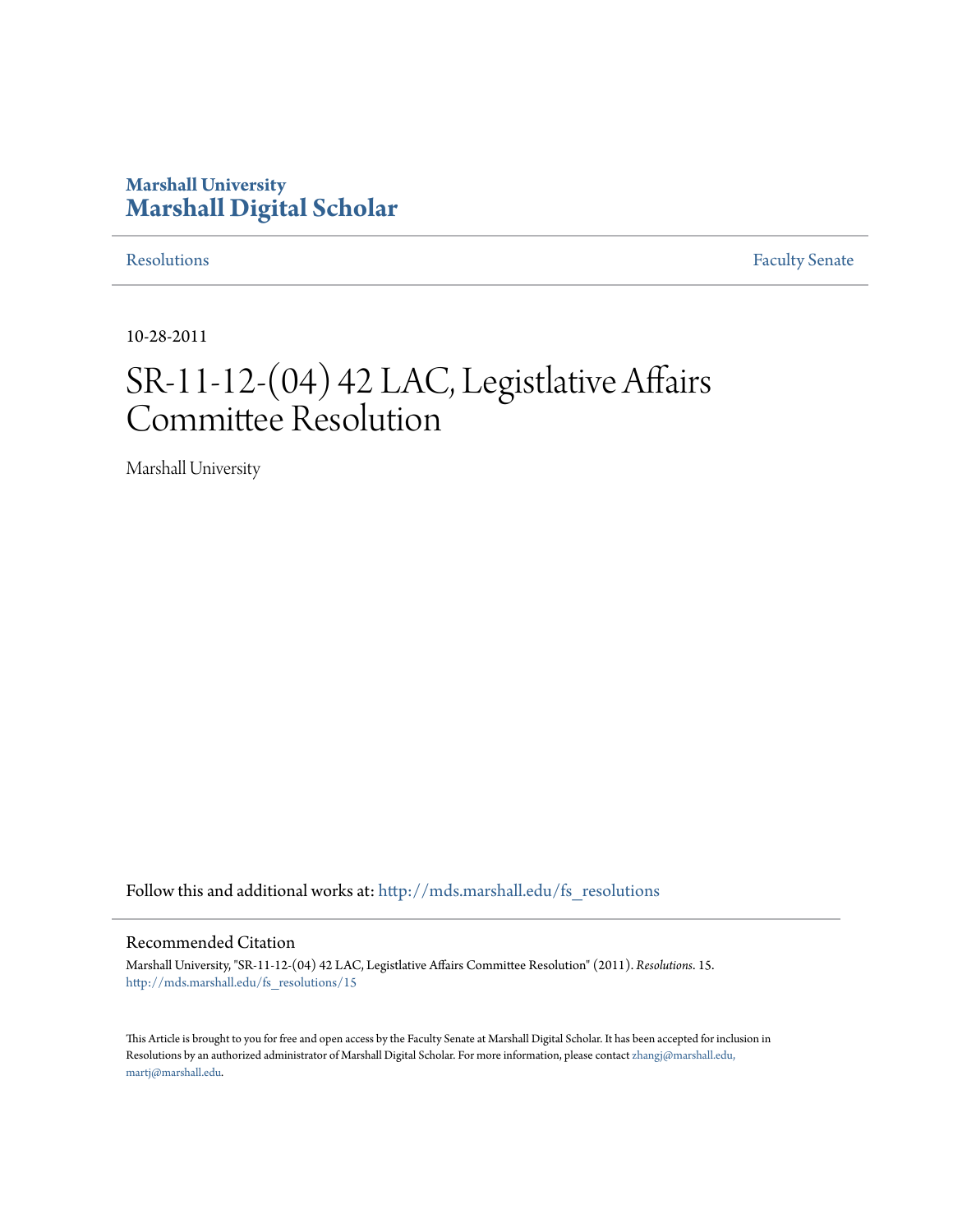## **Marshall University [Marshall Digital Scholar](http://mds.marshall.edu?utm_source=mds.marshall.edu%2Ffs_resolutions%2F15&utm_medium=PDF&utm_campaign=PDFCoverPages)**

[Resolutions](http://mds.marshall.edu/fs_resolutions?utm_source=mds.marshall.edu%2Ffs_resolutions%2F15&utm_medium=PDF&utm_campaign=PDFCoverPages) [Faculty Senate](http://mds.marshall.edu/fs?utm_source=mds.marshall.edu%2Ffs_resolutions%2F15&utm_medium=PDF&utm_campaign=PDFCoverPages)

10-28-2011

# SR-11-12-(04) 42 LAC, Legistlative Affairs Committee Resolution

Marshall University

Follow this and additional works at: [http://mds.marshall.edu/fs\\_resolutions](http://mds.marshall.edu/fs_resolutions?utm_source=mds.marshall.edu%2Ffs_resolutions%2F15&utm_medium=PDF&utm_campaign=PDFCoverPages)

#### Recommended Citation

Marshall University, "SR-11-12-(04) 42 LAC, Legistlative Affairs Committee Resolution" (2011). *Resolutions*. 15. [http://mds.marshall.edu/fs\\_resolutions/15](http://mds.marshall.edu/fs_resolutions/15?utm_source=mds.marshall.edu%2Ffs_resolutions%2F15&utm_medium=PDF&utm_campaign=PDFCoverPages)

This Article is brought to you for free and open access by the Faculty Senate at Marshall Digital Scholar. It has been accepted for inclusion in Resolutions by an authorized administrator of Marshall Digital Scholar. For more information, please contact [zhangj@marshall.edu,](mailto:zhangj@marshall.edu,%20martj@marshall.edu) [martj@marshall.edu](mailto:zhangj@marshall.edu,%20martj@marshall.edu).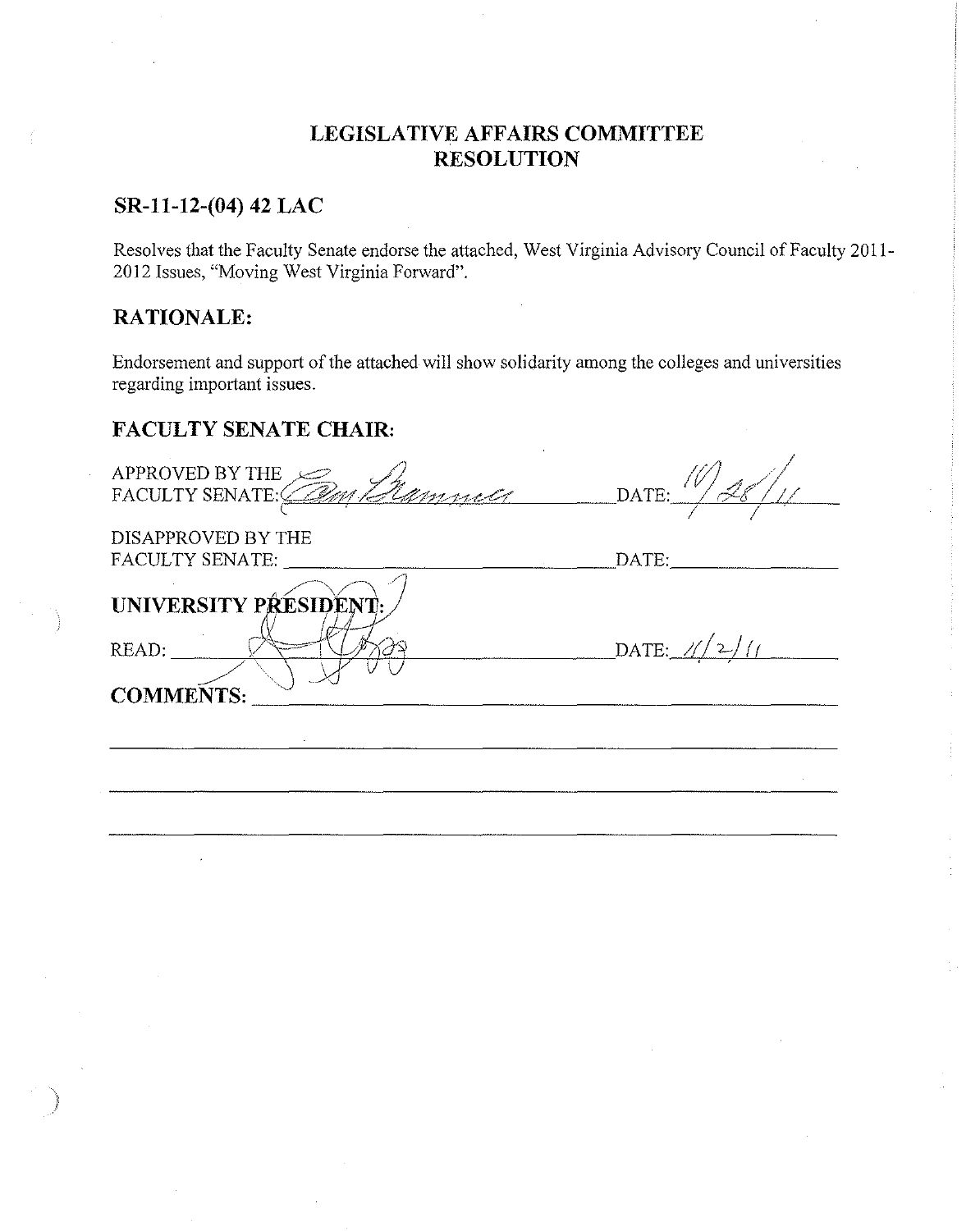## **LEGISLATIVE AFFAIRS COMMITTEE RESOLUTION**

### **SR-11-12-(04) 42 LAC**

Resolves that the Faculty Senate endorse the attached, West Virginia Advisory Council of Faculty 2011- 2012 Issues, "Moving West Virginia Forward".

## **RATIONALE:**

Endorsement and support of the attached will show solidarity among the colleges and universities regarding important issues.

## **FACULTY SENATE CHAIR:**

| APPROVED BY THE             |                                          |
|-----------------------------|------------------------------------------|
| FACULTY SENATE: Cam Elamnet | DATE:                                    |
|                             |                                          |
| DISAPPROVED BY THE          |                                          |
| FACULTY SENATE:             | DATE:                                    |
|                             |                                          |
| UNIVERSITY PRESIDENT.       |                                          |
|                             |                                          |
| READ:                       | DATE: $\frac{\chi}{2}/\frac{\chi}{\chi}$ |
|                             |                                          |
| <b>COMMENTS:</b>            |                                          |
|                             |                                          |
|                             |                                          |
|                             |                                          |
|                             |                                          |